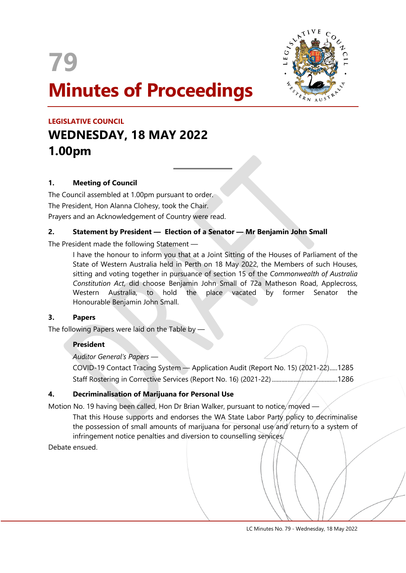



# **LEGISLATIVE COUNCIL WEDNESDAY, 18 MAY 2022 1.00pm**

# **1. Meeting of Council**

The Council assembled at 1.00pm pursuant to order. The President, Hon Alanna Clohesy, took the Chair. Prayers and an Acknowledgement of Country were read.

# **2. Statement by President — Election of a Senator — Mr Benjamin John Small**

 $\overline{a}$ 

The President made the following Statement —

I have the honour to inform you that at a Joint Sitting of the Houses of Parliament of the State of Western Australia held in Perth on 18 May 2022, the Members of such Houses, sitting and voting together in pursuance of section 15 of the *Commonwealth of Australia Constitution Act*, did choose Benjamin John Small of 72a Matheson Road, Applecross, Western Australia, to hold the place vacated by former Senator the Honourable Benjamin John Small.

#### **3. Papers**

The following Papers were laid on the Table by -

# **President**

*Auditor General's Papers* —

COVID-19 Contact Tracing System — Application Audit (Report No. 15) (2021-22).....1285 Staff Rostering in Corrective Services (Report No. 16) (2021-22) ..........................................1286

# **4. Decriminalisation of Marijuana for Personal Use**

Motion No. 19 having been called, Hon Dr Brian Walker, pursuant to notice, moved —

That this House supports and endorses the WA State Labor Party policy to decriminalise the possession of small amounts of marijuana for personal use and return to a system of infringement notice penalties and diversion to counselling services.

Debate ensued.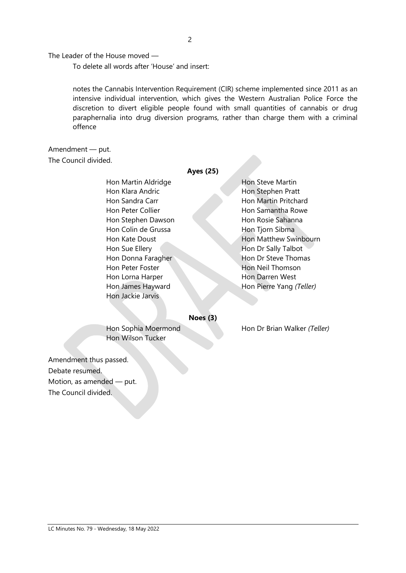The Leader of the House moved —

To delete all words after 'House' and insert:

notes the Cannabis Intervention Requirement (CIR) scheme implemented since 2011 as an intensive individual intervention, which gives the Western Australian Police Force the discretion to divert eligible people found with small quantities of cannabis or drug paraphernalia into drug diversion programs, rather than charge them with a criminal offence

**Ayes (25)**

# Amendment — put.

The Council divided.

# Hon Martin Aldridge Hon Steve Martin Hon Klara Andric **Hon Stephen Pratt** Hon Sandra Carr **Hon Martin Pritchard** Hon Peter Collier **Hon Samantha Rowe** Hon Stephen Dawson Hon Rosie Sahanna Hon Colin de Grussa Hon Tjorn Sibma Hon Sue Ellery **Hon Dr Sally Talbot** Hon Peter Foster **Hon Neil Thomson** Hon Lorna Harper Hon Darren West Hon Jackie Jarvis

# Hon Kate Doust **Hon Matthew Swinbourn** Hon Donna Faragher Hon Dr Steve Thomas Hon James Hayward Hon Pierre Yang *(Teller)*

**Noes (3)**

Hon Wilson Tucker

Hon Sophia Moermond Hon Dr Brian Walker (Teller)

Amendment thus passed. Debate resumed. Motion, as amended — put. The Council divided.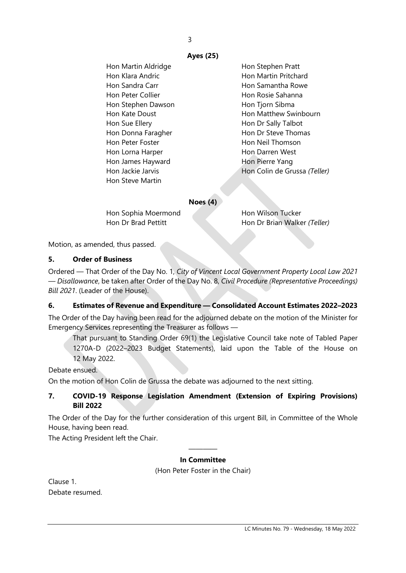3

# **Ayes (25)**

Hon Martin Aldridge **Hon Stephen Pratt** Hon Klara Andric **Hon Martin Pritchard** Hon Sandra Carr **Hon Samantha Rowe** Hon Peter Collier **Hon Rosie Sahanna** Hon Stephen Dawson Hon Tiorn Sibma Hon Sue Ellery **Hon Dr Sally Talbot** Hon Donna Faragher Hon Dr Steve Thomas Hon Peter Foster **Hon Neil Thomson** Hon Lorna Harper **Hon Darren West** Hon James Hayward **Hon Pierre Yang** Hon Steve Martin

Hon Kate Doust **Hon Matthew Swinbourn** Hon Jackie Jarvis **Hon Colin de Grussa** *(Teller)* 

#### **Noes (4)**

Hon Sophia Moermond Hon Wilson Tucker

Hon Dr Brad Pettitt **Hon Dr Brian Walker** *(Teller)* 

Motion, as amended, thus passed.

#### **5. Order of Business**

Ordered — That Order of the Day No. 1, *City of Vincent Local Government Property Local Law 2021 — Disallowance*, be taken after Order of the Day No. 8, *Civil Procedure (Representative Proceedings) Bill 2021*. (Leader of the House).

# **6. Estimates of Revenue and Expenditure — Consolidated Account Estimates 2022–2023**

The Order of the Day having been read for the adjourned debate on the motion of the Minister for Emergency Services representing the Treasurer as follows —

That pursuant to Standing Order 69(1) the Legislative Council take note of Tabled Paper 1270A-D (2022–2023 Budget Statements), laid upon the Table of the House on 12 May 2022.

#### Debate ensued.

On the motion of Hon Colin de Grussa the debate was adjourned to the next sitting.

# **7. COVID-19 Response Legislation Amendment (Extension of Expiring Provisions) Bill 2022**

The Order of the Day for the further consideration of this urgent Bill, in Committee of the Whole House, having been read.

The Acting President left the Chair.

#### ———— **In Committee**

(Hon Peter Foster in the Chair)

Clause 1. Debate resumed.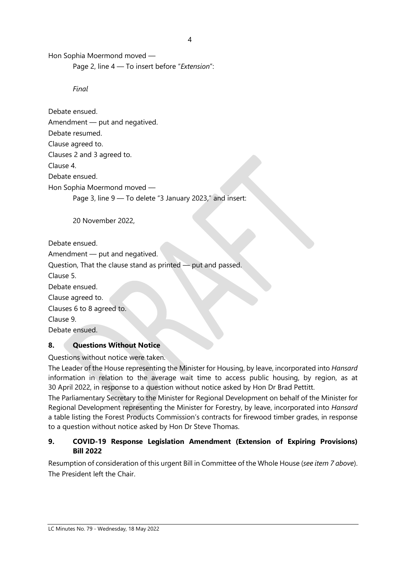Hon Sophia Moermond moved —

Page 2, line 4 — To insert before "*Extension*":

*Final*

Debate ensued. Amendment — put and negatived. Debate resumed. Clause agreed to. Clauses 2 and 3 agreed to. Clause 4. Debate ensued. Hon Sophia Moermond moved — Page 3, line 9 — To delete "3 January 2023," and insert:

20 November 2022,

Debate ensued.

Amendment — put and negatived.

Question, That the clause stand as printed — put and passed.

Clause 5.

Debate ensued.

Clause agreed to.

Clauses 6 to 8 agreed to.

Clause 9.

Debate ensued.

# **8. Questions Without Notice**

Questions without notice were taken.

The Leader of the House representing the Minister for Housing, by leave, incorporated into *Hansard* information in relation to the average wait time to access public housing, by region, as at 30 April 2022, in response to a question without notice asked by Hon Dr Brad Pettitt.

The Parliamentary Secretary to the Minister for Regional Development on behalf of the Minister for Regional Development representing the Minister for Forestry, by leave, incorporated into *Hansard* a table listing the Forest Products Commission's contracts for firewood timber grades, in response to a question without notice asked by Hon Dr Steve Thomas.

# **9. COVID-19 Response Legislation Amendment (Extension of Expiring Provisions) Bill 2022**

Resumption of consideration of this urgent Bill in Committee of the Whole House (*see item 7 above*). The President left the Chair.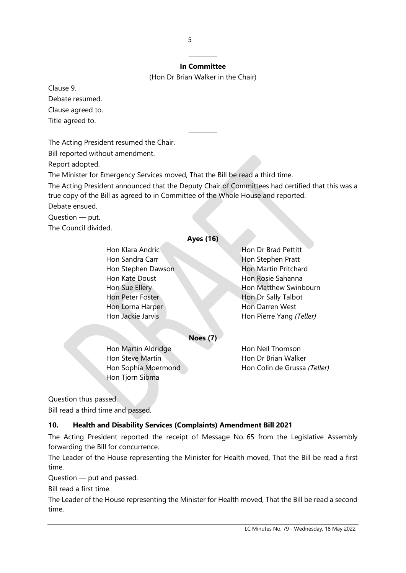#### ———— **In Committee**

(Hon Dr Brian Walker in the Chair)

————

Clause 9. Debate resumed. Clause agreed to. Title agreed to.

The Acting President resumed the Chair.

Bill reported without amendment.

Report adopted.

The Minister for Emergency Services moved, That the Bill be read a third time.

The Acting President announced that the Deputy Chair of Committees had certified that this was a true copy of the Bill as agreed to in Committee of the Whole House and reported.

Debate ensued.

Question — put.

The Council divided.

### **Ayes (16)**

Hon Klara Andric Hon Dr Brad Pettitt Hon Sandra Carr **Hon Stephen Pratt** Hon Stephen Dawson Hon Martin Pritchard Hon Kate Doust **Hon Rosie Sahanna** Hon Peter Foster **Honda** Hon Dr Sally Talbot Hon Lorna Harper Hon Darren West

Hon Sue Ellery **Hon Matthew Swinbourn** Hon Jackie Jarvis Hon Pierre Yang *(Teller)*

**Noes (7)**

Hon Martin Aldridge Hon Neil Thomson Hon Steve Martin **Hon Dr Brian Walker** Hon Tjorn Sibma

Hon Sophia Moermond Hon Colin de Grussa *(Teller)* 

Question thus passed.

Bill read a third time and passed.

# **10. Health and Disability Services (Complaints) Amendment Bill 2021**

The Acting President reported the receipt of Message No. 65 from the Legislative Assembly forwarding the Bill for concurrence.

The Leader of the House representing the Minister for Health moved, That the Bill be read a first time.

Question — put and passed.

Bill read a first time.

The Leader of the House representing the Minister for Health moved, That the Bill be read a second time.